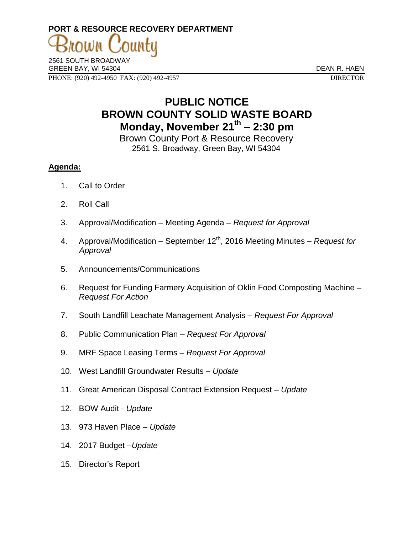# **PORT & RESOURCE RECOVERY DEPARTMENT**

2561 SOUTH BROADWAY GREEN BAY, WI 54304 DEAN R. HAEN PHONE: (920) 492-4950 FAX: (920) 492-4957 DIRECTOR

## **PUBLIC NOTICE BROWN COUNTY SOLID WASTE BOARD Monday, November 21th – 2:30 pm**

Brown County Port & Resource Recovery 2561 S. Broadway, Green Bay, WI 54304

### **Agenda:**

- 1. Call to Order
- 2. Roll Call
- 3. Approval/Modification Meeting Agenda *Request for Approval*
- 4. Approval/Modification September 12<sup>th</sup>, 2016 Meeting Minutes *Request for Approval*
- 5. Announcements/Communications
- 6. Request for Funding Farmery Acquisition of Oklin Food Composting Machine *– Request For Action*
- 7. South Landfill Leachate Management Analysis *Request For Approval*
- 8. Public Communication Plan *Request For Approval*
- 9. MRF Space Leasing Terms *Request For Approval*
- 10. West Landfill Groundwater Results *Update*
- 11. Great American Disposal Contract Extension Request *Update*
- 12. BOW Audit *Update*
- 13. 973 Haven Place *Update*
- 14. 2017 Budget –*Update*
- 15. Director's Report